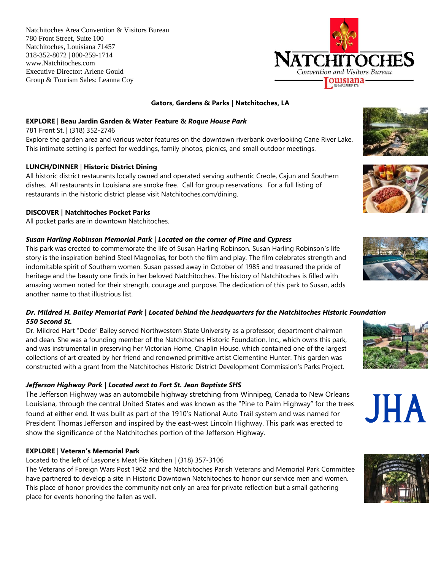Natchitoches Area Convention & Visitors Bureau 780 Front Street, Suite 100 Natchitoches, Louisiana 71457 318-352-8072 | 800-259-1714 www.Natchitoches.com Executive Director: Arlene Gould Group & Tourism Sales: Leanna Coy

# **Gators, Gardens & Parks | Natchitoches, LA**

### **EXPLORE** | **Beau Jardin Garden & Water Feature &** *Roque House Park*

781 Front St. | (318) 352-2746 Explore the garden area and various water features on the downtown riverbank overlooking Cane River Lake. This intimate setting is perfect for weddings, family photos, picnics, and small outdoor meetings.

# **LUNCH/DINNER** | **Historic District Dining**

All historic district restaurants locally owned and operated serving authentic Creole, Cajun and Southern dishes. All restaurants in Louisiana are smoke free. Call for group reservations. For a full listing of restaurants in the historic district please visit Natchitoches.com/dining.

### **DISCOVER | Natchitoches Pocket Parks**

All pocket parks are in downtown Natchitoches.

### *Susan Harling Robinson Memorial Park | Located on the corner of Pine and Cypress*

This park was erected to commemorate the life of Susan Harling Robinson. Susan Harling Robinson's life story is the inspiration behind Steel Magnolias, for both the film and play. The film celebrates strength and indomitable spirit of Southern women. Susan passed away in October of 1985 and treasured the pride of heritage and the beauty one finds in her beloved Natchitoches. The history of Natchitoches is filled with amazing women noted for their strength, courage and purpose. The dedication of this park to Susan, adds another name to that illustrious list.

# *Dr. Mildred H. Bailey Memorial Park | Located behind the headquarters for the Natchitoches Historic Foundation 550 Second St.*

Dr. Mildred Hart "Dede" Bailey served Northwestern State University as a professor, department chairman and dean. She was a founding member of the Natchitoches Historic Foundation, Inc., which owns this park, and was instrumental in preserving her Victorian Home, Chaplin House, which contained one of the largest collections of art created by her friend and renowned primitive artist Clementine Hunter. This garden was constructed with a grant from the Natchitoches Historic District Development Commission's Parks Project.

# *Jefferson Highway Park | Located next to Fort St. Jean Baptiste SHS*

The Jefferson Highway was an automobile highway stretching from Winnipeg, Canada to New Orleans Louisiana, through the central United States and was known as the "Pine to Palm Highway" for the trees found at either end. It was built as part of the 1910's National Auto Trail system and was named for President Thomas Jefferson and inspired by the east-west Lincoln Highway. This park was erected to show the significance of the Natchitoches portion of the Jefferson Highway.

#### **EXPLORE** | **Veteran's Memorial Park**

Located to the left of Lasyone's Meat Pie Kitchen | (318) 357-3106

The Veterans of Foreign Wars Post 1962 and the Natchitoches Parish Veterans and Memorial Park Committee have partnered to develop a site in Historic Downtown Natchitoches to honor our service men and women. This place of honor provides the community not only an area for private reflection but a small gathering place for events honoring the fallen as well.













JHA